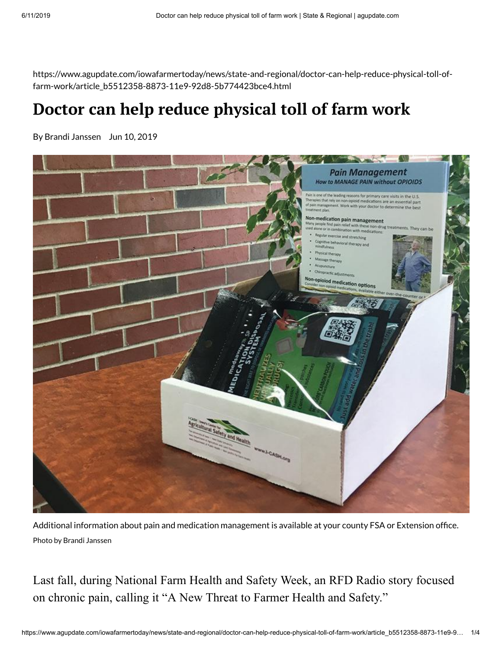https://www.agupdate.com/iowafarmertoday/news/state-and-regional/doctor-can-help-reduce-physical-toll-offarm-work/article\_b5512358-8873-11e9-92d8-5b774423bce4.html

## **Doctor can help reduce physical toll of farm work**

By Brandi Janssen Jun 10, 2019



Additional information about pain and medication management is available at your county FSA or Extension office. Photo by Brandi Janssen

Last fall, during National Farm Health and Safety Week, an RFD Radio story focused on chronic pain, calling it "A New Threat to Farmer Health and Safety."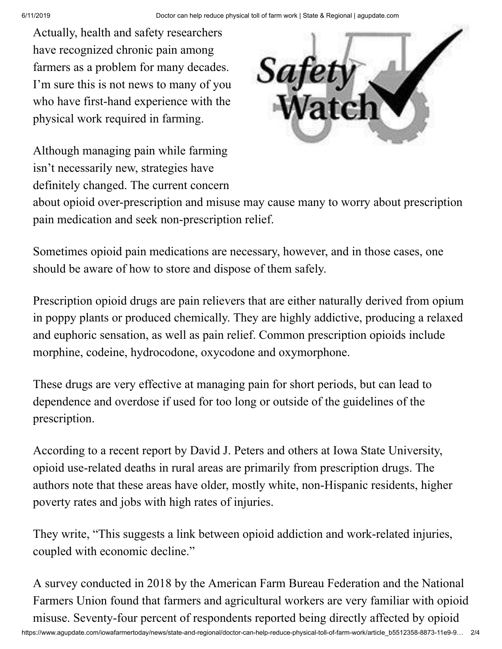Actually, health and safety researchers have recognized chronic pain among farmers as a problem for many decades. I'm sure this is not news to many of you who have first-hand experience with the physical work required in farming.

Although managing pain while farming isn't necessarily new, strategies have definitely changed. The current concern



about opioid over-prescription and misuse may cause many to worry about prescription pain medication and seek non-prescription relief.

Sometimes opioid pain medications are necessary, however, and in those cases, one should be aware of how to store and dispose of them safely.

Prescription opioid drugs are pain relievers that are either naturally derived from opium in poppy plants or produced chemically. They are highly addictive, producing a relaxed and euphoric sensation, as well as pain relief. Common prescription opioids include morphine, codeine, hydrocodone, oxycodone and oxymorphone.

These drugs are very effective at managing pain for short periods, but can lead to dependence and overdose if used for too long or outside of the guidelines of the prescription.

According to a recent report by David J. Peters and others at Iowa State University, opioid use-related deaths in rural areas are primarily from prescription drugs. The authors note that these areas have older, mostly white, non-Hispanic residents, higher poverty rates and jobs with high rates of injuries.

They write, "This suggests a link between opioid addiction and work-related injuries, coupled with economic decline."

A survey conducted in 2018 by the American Farm Bureau Federation and the National Farmers Union found that farmers and agricultural workers are very familiar with opioid misuse. Seventy-four percent of respondents reported being directly affected by opioid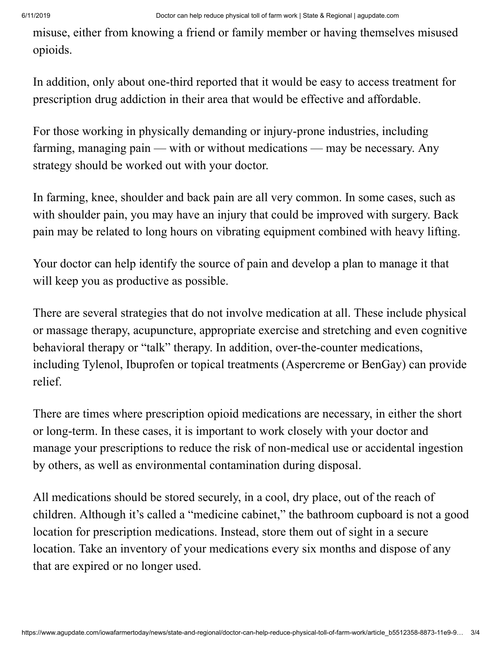misuse, either from knowing a friend or family member or having themselves misused opioids.

In addition, only about one-third reported that it would be easy to access treatment for prescription drug addiction in their area that would be effective and affordable.

For those working in physically demanding or injury-prone industries, including farming, managing pain — with or without medications — may be necessary. Any strategy should be worked out with your doctor.

In farming, knee, shoulder and back pain are all very common. In some cases, such as with shoulder pain, you may have an injury that could be improved with surgery. Back pain may be related to long hours on vibrating equipment combined with heavy lifting.

Your doctor can help identify the source of pain and develop a plan to manage it that will keep you as productive as possible.

There are several strategies that do not involve medication at all. These include physical or massage therapy, acupuncture, appropriate exercise and stretching and even cognitive behavioral therapy or "talk" therapy. In addition, over-the-counter medications, including Tylenol, Ibuprofen or topical treatments (Aspercreme or BenGay) can provide relief.

There are times where prescription opioid medications are necessary, in either the short or long-term. In these cases, it is important to work closely with your doctor and manage your prescriptions to reduce the risk of non-medical use or accidental ingestion by others, as well as environmental contamination during disposal.

All medications should be stored securely, in a cool, dry place, out of the reach of children. Although it's called a "medicine cabinet," the bathroom cupboard is not a good location for prescription medications. Instead, store them out of sight in a secure location. Take an inventory of your medications every six months and dispose of any that are expired or no longer used.